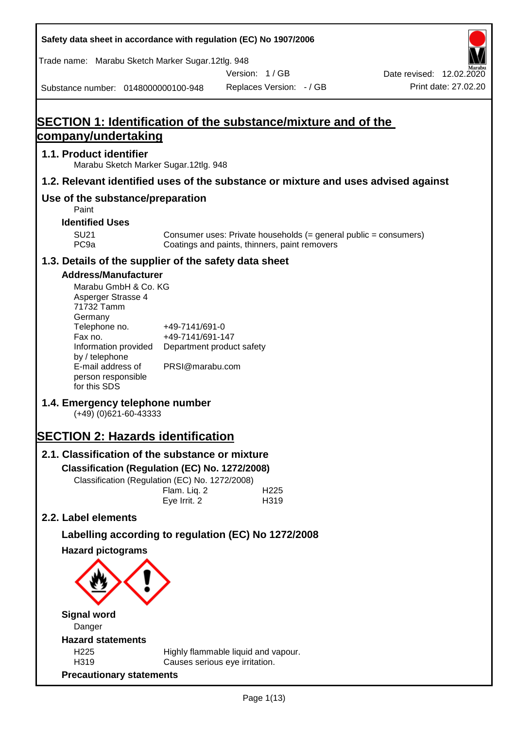| Safety data sheet in accordance with regulation (EC) No 1907/2006                                                                                                                                                                                                                                                                                                                                                                                                                                    |                                                                                                    |                                                                                                                     |                                                  |
|------------------------------------------------------------------------------------------------------------------------------------------------------------------------------------------------------------------------------------------------------------------------------------------------------------------------------------------------------------------------------------------------------------------------------------------------------------------------------------------------------|----------------------------------------------------------------------------------------------------|---------------------------------------------------------------------------------------------------------------------|--------------------------------------------------|
| Trade name: Marabu Sketch Marker Sugar.12tlg. 948                                                                                                                                                                                                                                                                                                                                                                                                                                                    |                                                                                                    |                                                                                                                     |                                                  |
| Substance number: 0148000000100-948                                                                                                                                                                                                                                                                                                                                                                                                                                                                  |                                                                                                    | Version: 1/GB<br>Replaces Version: - / GB                                                                           | Date revised: 12.02.2020<br>Print date: 27.02.20 |
|                                                                                                                                                                                                                                                                                                                                                                                                                                                                                                      |                                                                                                    |                                                                                                                     |                                                  |
| SECTION 1: Identification of the substance/mixture and of the<br>company/undertaking                                                                                                                                                                                                                                                                                                                                                                                                                 |                                                                                                    |                                                                                                                     |                                                  |
| 1.1. Product identifier                                                                                                                                                                                                                                                                                                                                                                                                                                                                              |                                                                                                    |                                                                                                                     |                                                  |
| Marabu Sketch Marker Sugar.12tlg. 948                                                                                                                                                                                                                                                                                                                                                                                                                                                                |                                                                                                    |                                                                                                                     |                                                  |
| 1.2. Relevant identified uses of the substance or mixture and uses advised against                                                                                                                                                                                                                                                                                                                                                                                                                   |                                                                                                    |                                                                                                                     |                                                  |
| Use of the substance/preparation<br>Paint                                                                                                                                                                                                                                                                                                                                                                                                                                                            |                                                                                                    |                                                                                                                     |                                                  |
| <b>Identified Uses</b>                                                                                                                                                                                                                                                                                                                                                                                                                                                                               |                                                                                                    |                                                                                                                     |                                                  |
| <b>SU21</b><br>PC <sub>9a</sub>                                                                                                                                                                                                                                                                                                                                                                                                                                                                      |                                                                                                    | Consumer uses: Private households $(=$ general public = consumers)<br>Coatings and paints, thinners, paint removers |                                                  |
| 1.3. Details of the supplier of the safety data sheet                                                                                                                                                                                                                                                                                                                                                                                                                                                |                                                                                                    |                                                                                                                     |                                                  |
| <b>Address/Manufacturer</b><br>Marabu GmbH & Co. KG<br>Asperger Strasse 4<br>71732 Tamm<br>Germany<br>Telephone no.<br>Fax no.<br>Information provided<br>by / telephone<br>E-mail address of<br>person responsible<br>for this SDS<br>1.4. Emergency telephone number<br>$(+49)$ (0)621-60-43333<br><b>SECTION 2: Hazards identification</b><br>2.1. Classification of the substance or mixture<br>Classification (Regulation (EC) No. 1272/2008)<br>Classification (Regulation (EC) No. 1272/2008) | +49-7141/691-0<br>+49-7141/691-147<br>Department product safety<br>PRSI@marabu.com<br>Flam. Liq. 2 | H <sub>225</sub>                                                                                                    |                                                  |
| 2.2. Label elements                                                                                                                                                                                                                                                                                                                                                                                                                                                                                  | Eye Irrit. 2                                                                                       | H319                                                                                                                |                                                  |
|                                                                                                                                                                                                                                                                                                                                                                                                                                                                                                      |                                                                                                    |                                                                                                                     |                                                  |
| Labelling according to regulation (EC) No 1272/2008<br><b>Hazard pictograms</b>                                                                                                                                                                                                                                                                                                                                                                                                                      |                                                                                                    |                                                                                                                     |                                                  |
|                                                                                                                                                                                                                                                                                                                                                                                                                                                                                                      |                                                                                                    |                                                                                                                     |                                                  |
| <b>Signal word</b>                                                                                                                                                                                                                                                                                                                                                                                                                                                                                   |                                                                                                    |                                                                                                                     |                                                  |
| Danger                                                                                                                                                                                                                                                                                                                                                                                                                                                                                               |                                                                                                    |                                                                                                                     |                                                  |
| <b>Hazard statements</b><br>H225                                                                                                                                                                                                                                                                                                                                                                                                                                                                     |                                                                                                    | Highly flammable liquid and vapour.                                                                                 |                                                  |
| H319                                                                                                                                                                                                                                                                                                                                                                                                                                                                                                 |                                                                                                    | Causes serious eye irritation.                                                                                      |                                                  |
| <b>Precautionary statements</b>                                                                                                                                                                                                                                                                                                                                                                                                                                                                      |                                                                                                    |                                                                                                                     |                                                  |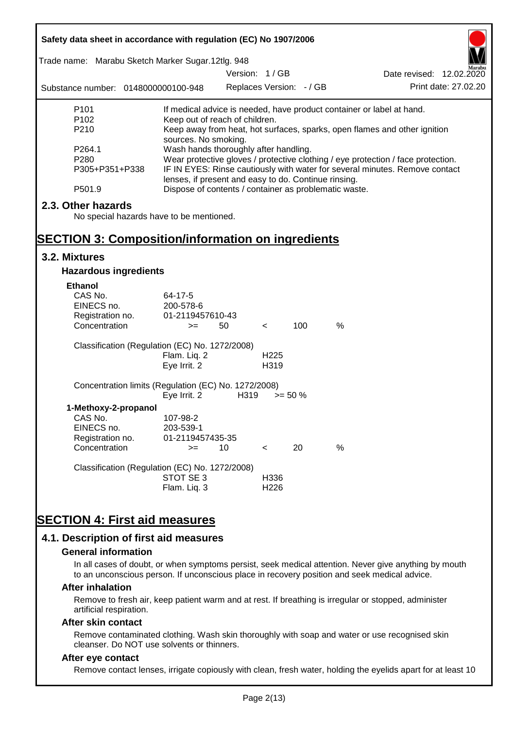| Safety data sheet in accordance with regulation (EC) No 1907/2006<br>Trade name: Marabu Sketch Marker Sugar.12tlg. 948 |                                                                                                                                     |                          |                  |            |      |                                                                           |
|------------------------------------------------------------------------------------------------------------------------|-------------------------------------------------------------------------------------------------------------------------------------|--------------------------|------------------|------------|------|---------------------------------------------------------------------------|
|                                                                                                                        |                                                                                                                                     | Version: 1 / GB          |                  |            |      | Date revised: 12.02.2020                                                  |
| Substance number: 0148000000100-948                                                                                    |                                                                                                                                     | Replaces Version: - / GB |                  |            |      | Print date: 27.02.20                                                      |
| P <sub>101</sub>                                                                                                       |                                                                                                                                     |                          |                  |            |      | If medical advice is needed, have product container or label at hand.     |
| P <sub>102</sub>                                                                                                       | Keep out of reach of children.                                                                                                      |                          |                  |            |      |                                                                           |
| P210                                                                                                                   |                                                                                                                                     |                          |                  |            |      | Keep away from heat, hot surfaces, sparks, open flames and other ignition |
| P264.1                                                                                                                 | sources. No smoking.<br>Wash hands thoroughly after handling.                                                                       |                          |                  |            |      |                                                                           |
| P <sub>280</sub>                                                                                                       | Wear protective gloves / protective clothing / eye protection / face protection.                                                    |                          |                  |            |      |                                                                           |
| P305+P351+P338                                                                                                         | IF IN EYES: Rinse cautiously with water for several minutes. Remove contact<br>lenses, if present and easy to do. Continue rinsing. |                          |                  |            |      |                                                                           |
| P501.9                                                                                                                 | Dispose of contents / container as problematic waste.                                                                               |                          |                  |            |      |                                                                           |
| 2.3. Other hazards                                                                                                     |                                                                                                                                     |                          |                  |            |      |                                                                           |
| No special hazards have to be mentioned.                                                                               |                                                                                                                                     |                          |                  |            |      |                                                                           |
|                                                                                                                        |                                                                                                                                     |                          |                  |            |      |                                                                           |
| <b>SECTION 3: Composition/information on ingredients</b>                                                               |                                                                                                                                     |                          |                  |            |      |                                                                           |
| 3.2. Mixtures                                                                                                          |                                                                                                                                     |                          |                  |            |      |                                                                           |
| <b>Hazardous ingredients</b>                                                                                           |                                                                                                                                     |                          |                  |            |      |                                                                           |
| Ethanol                                                                                                                |                                                                                                                                     |                          |                  |            |      |                                                                           |
| CAS No.                                                                                                                | 64-17-5                                                                                                                             |                          |                  |            |      |                                                                           |
| EINECS no.                                                                                                             | 200-578-6                                                                                                                           |                          |                  |            |      |                                                                           |
| Registration no.                                                                                                       | 01-2119457610-43                                                                                                                    |                          |                  |            |      |                                                                           |
| Concentration                                                                                                          | $>=$                                                                                                                                | 50                       | $\prec$          | 100        | $\%$ |                                                                           |
| Classification (Regulation (EC) No. 1272/2008)                                                                         |                                                                                                                                     |                          |                  |            |      |                                                                           |
|                                                                                                                        | Flam. Liq. 2                                                                                                                        |                          | H <sub>225</sub> |            |      |                                                                           |
|                                                                                                                        | Eye Irrit. 2                                                                                                                        |                          | H319             |            |      |                                                                           |
| Concentration limits (Regulation (EC) No. 1272/2008)                                                                   |                                                                                                                                     |                          |                  |            |      |                                                                           |
|                                                                                                                        | Eye Irrit. 2                                                                                                                        | H319                     |                  | $>= 50 \%$ |      |                                                                           |
| 1-Methoxy-2-propanol                                                                                                   |                                                                                                                                     |                          |                  |            |      |                                                                           |
| CAS No.<br>EINECS no.                                                                                                  | 107-98-2<br>203-539-1                                                                                                               |                          |                  |            |      |                                                                           |
| Registration no.                                                                                                       | 01-2119457435-35                                                                                                                    |                          |                  |            |      |                                                                           |
| Concentration                                                                                                          | $=$                                                                                                                                 | 10                       | $\,<\,$          | 20         | %    |                                                                           |
| Classification (Regulation (EC) No. 1272/2008)                                                                         |                                                                                                                                     |                          |                  |            |      |                                                                           |
|                                                                                                                        | STOT SE 3                                                                                                                           |                          | H336             |            |      |                                                                           |
|                                                                                                                        | Flam. Liq. 3                                                                                                                        |                          | H <sub>226</sub> |            |      |                                                                           |
|                                                                                                                        |                                                                                                                                     |                          |                  |            |      |                                                                           |
| <b>SECTION 4: First aid measures</b>                                                                                   |                                                                                                                                     |                          |                  |            |      |                                                                           |
|                                                                                                                        |                                                                                                                                     |                          |                  |            |      |                                                                           |
| 4.1. Description of first aid measures                                                                                 |                                                                                                                                     |                          |                  |            |      |                                                                           |

#### **General information**

In all cases of doubt, or when symptoms persist, seek medical attention. Never give anything by mouth to an unconscious person. If unconscious place in recovery position and seek medical advice.

#### **After inhalation**

Remove to fresh air, keep patient warm and at rest. If breathing is irregular or stopped, administer artificial respiration.

#### **After skin contact**

Remove contaminated clothing. Wash skin thoroughly with soap and water or use recognised skin cleanser. Do NOT use solvents or thinners.

### **After eye contact**

Remove contact lenses, irrigate copiously with clean, fresh water, holding the eyelids apart for at least 10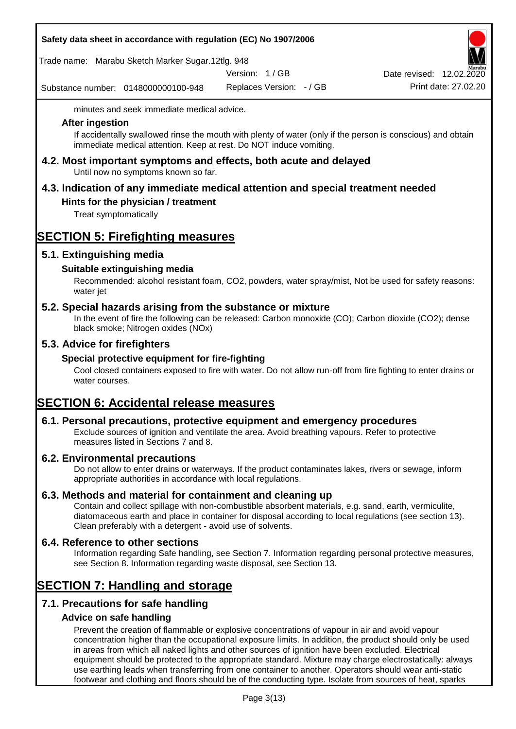### **Safety data sheet in accordance with regulation (EC) No 1907/2006**

Trade name: Marabu Sketch Marker Sugar.12tlg. 948

Version: 1 / GB

Substance number: 0148000000100-948

Replaces Version: - / GB Print date: 27.02.20 Date revised: 12.02.2020

minutes and seek immediate medical advice.

#### **After ingestion**

If accidentally swallowed rinse the mouth with plenty of water (only if the person is conscious) and obtain immediate medical attention. Keep at rest. Do NOT induce vomiting.

**4.2. Most important symptoms and effects, both acute and delayed** Until now no symptoms known so far.

# **4.3. Indication of any immediate medical attention and special treatment needed**

## **Hints for the physician / treatment**

Treat symptomatically

# **SECTION 5: Firefighting measures**

## **5.1. Extinguishing media**

## **Suitable extinguishing media**

Recommended: alcohol resistant foam, CO2, powders, water spray/mist, Not be used for safety reasons: water jet

### **5.2. Special hazards arising from the substance or mixture**

In the event of fire the following can be released: Carbon monoxide (CO); Carbon dioxide (CO2); dense black smoke; Nitrogen oxides (NOx)

## **5.3. Advice for firefighters**

### **Special protective equipment for fire-fighting**

Cool closed containers exposed to fire with water. Do not allow run-off from fire fighting to enter drains or water courses.

# **SECTION 6: Accidental release measures**

### **6.1. Personal precautions, protective equipment and emergency procedures**

Exclude sources of ignition and ventilate the area. Avoid breathing vapours. Refer to protective measures listed in Sections 7 and 8.

### **6.2. Environmental precautions**

Do not allow to enter drains or waterways. If the product contaminates lakes, rivers or sewage, inform appropriate authorities in accordance with local regulations.

### **6.3. Methods and material for containment and cleaning up**

Contain and collect spillage with non-combustible absorbent materials, e.g. sand, earth, vermiculite, diatomaceous earth and place in container for disposal according to local regulations (see section 13). Clean preferably with a detergent - avoid use of solvents.

### **6.4. Reference to other sections**

Information regarding Safe handling, see Section 7. Information regarding personal protective measures, see Section 8. Information regarding waste disposal, see Section 13.

# **SECTION 7: Handling and storage**

## **7.1. Precautions for safe handling**

### **Advice on safe handling**

Prevent the creation of flammable or explosive concentrations of vapour in air and avoid vapour concentration higher than the occupational exposure limits. In addition, the product should only be used in areas from which all naked lights and other sources of ignition have been excluded. Electrical equipment should be protected to the appropriate standard. Mixture may charge electrostatically: always use earthing leads when transferring from one container to another. Operators should wear anti-static footwear and clothing and floors should be of the conducting type. Isolate from sources of heat, sparks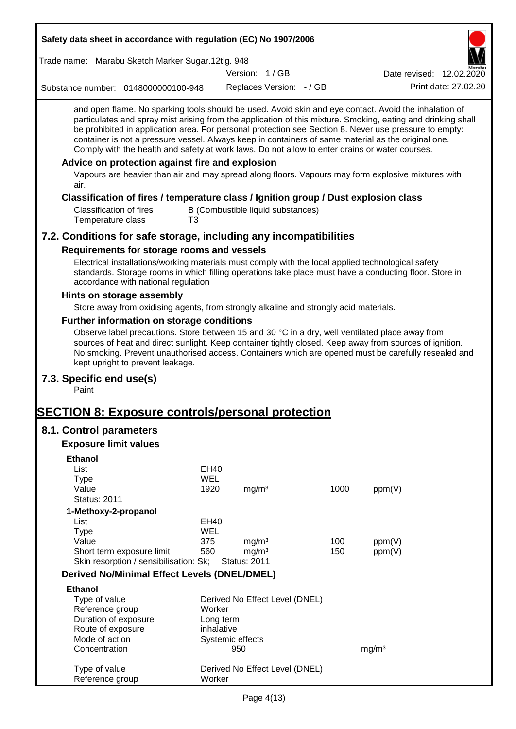| Safety data sheet in accordance with regulation (EC) No 1907/2006                                                                                                                                                                                                                                                                                                                                                                                                                                                                                                                                                                                                                                 |            |                                          |                                   |      |                          |                      |
|---------------------------------------------------------------------------------------------------------------------------------------------------------------------------------------------------------------------------------------------------------------------------------------------------------------------------------------------------------------------------------------------------------------------------------------------------------------------------------------------------------------------------------------------------------------------------------------------------------------------------------------------------------------------------------------------------|------------|------------------------------------------|-----------------------------------|------|--------------------------|----------------------|
| Trade name: Marabu Sketch Marker Sugar.12tlg. 948                                                                                                                                                                                                                                                                                                                                                                                                                                                                                                                                                                                                                                                 |            |                                          |                                   |      |                          |                      |
|                                                                                                                                                                                                                                                                                                                                                                                                                                                                                                                                                                                                                                                                                                   |            | Version: 1/GB                            |                                   |      | Date revised: 12.02.2020 |                      |
| Substance number: 0148000000100-948                                                                                                                                                                                                                                                                                                                                                                                                                                                                                                                                                                                                                                                               |            |                                          | Replaces Version: - / GB          |      |                          | Print date: 27.02.20 |
| and open flame. No sparking tools should be used. Avoid skin and eye contact. Avoid the inhalation of<br>particulates and spray mist arising from the application of this mixture. Smoking, eating and drinking shall<br>be prohibited in application area. For personal protection see Section 8. Never use pressure to empty:<br>container is not a pressure vessel. Always keep in containers of same material as the original one.<br>Comply with the health and safety at work laws. Do not allow to enter drains or water courses.<br>Advice on protection against fire and explosion<br>Vapours are heavier than air and may spread along floors. Vapours may form explosive mixtures with |            |                                          |                                   |      |                          |                      |
| air.                                                                                                                                                                                                                                                                                                                                                                                                                                                                                                                                                                                                                                                                                              |            |                                          |                                   |      |                          |                      |
| Classification of fires / temperature class / Ignition group / Dust explosion class<br><b>Classification of fires</b><br>Temperature class<br>T <sub>3</sub>                                                                                                                                                                                                                                                                                                                                                                                                                                                                                                                                      |            |                                          | B (Combustible liquid substances) |      |                          |                      |
| 7.2. Conditions for safe storage, including any incompatibilities                                                                                                                                                                                                                                                                                                                                                                                                                                                                                                                                                                                                                                 |            |                                          |                                   |      |                          |                      |
| Requirements for storage rooms and vessels                                                                                                                                                                                                                                                                                                                                                                                                                                                                                                                                                                                                                                                        |            |                                          |                                   |      |                          |                      |
| Electrical installations/working materials must comply with the local applied technological safety<br>standards. Storage rooms in which filling operations take place must have a conducting floor. Store in<br>accordance with national regulation                                                                                                                                                                                                                                                                                                                                                                                                                                               |            |                                          |                                   |      |                          |                      |
| Hints on storage assembly                                                                                                                                                                                                                                                                                                                                                                                                                                                                                                                                                                                                                                                                         |            |                                          |                                   |      |                          |                      |
| Store away from oxidising agents, from strongly alkaline and strongly acid materials.                                                                                                                                                                                                                                                                                                                                                                                                                                                                                                                                                                                                             |            |                                          |                                   |      |                          |                      |
| Further information on storage conditions                                                                                                                                                                                                                                                                                                                                                                                                                                                                                                                                                                                                                                                         |            |                                          |                                   |      |                          |                      |
| Observe label precautions. Store between 15 and 30 °C in a dry, well ventilated place away from<br>sources of heat and direct sunlight. Keep container tightly closed. Keep away from sources of ignition.<br>No smoking. Prevent unauthorised access. Containers which are opened must be carefully resealed and<br>kept upright to prevent leakage.                                                                                                                                                                                                                                                                                                                                             |            |                                          |                                   |      |                          |                      |
| 7.3. Specific end use(s)<br>Paint                                                                                                                                                                                                                                                                                                                                                                                                                                                                                                                                                                                                                                                                 |            |                                          |                                   |      |                          |                      |
| <b>SECTION 8: Exposure controls/personal protection</b>                                                                                                                                                                                                                                                                                                                                                                                                                                                                                                                                                                                                                                           |            |                                          |                                   |      |                          |                      |
| 8.1. Control parameters                                                                                                                                                                                                                                                                                                                                                                                                                                                                                                                                                                                                                                                                           |            |                                          |                                   |      |                          |                      |
| <b>Exposure limit values</b>                                                                                                                                                                                                                                                                                                                                                                                                                                                                                                                                                                                                                                                                      |            |                                          |                                   |      |                          |                      |
|                                                                                                                                                                                                                                                                                                                                                                                                                                                                                                                                                                                                                                                                                                   |            |                                          |                                   |      |                          |                      |
| <b>Ethanol</b><br>List                                                                                                                                                                                                                                                                                                                                                                                                                                                                                                                                                                                                                                                                            | EH40       |                                          |                                   |      |                          |                      |
| <b>Type</b>                                                                                                                                                                                                                                                                                                                                                                                                                                                                                                                                                                                                                                                                                       | <b>WEL</b> |                                          |                                   |      |                          |                      |
| Value                                                                                                                                                                                                                                                                                                                                                                                                                                                                                                                                                                                                                                                                                             | 1920       | mg/m <sup>3</sup>                        |                                   | 1000 | ppm(V)                   |                      |
| <b>Status: 2011</b>                                                                                                                                                                                                                                                                                                                                                                                                                                                                                                                                                                                                                                                                               |            |                                          |                                   |      |                          |                      |
| 1-Methoxy-2-propanol                                                                                                                                                                                                                                                                                                                                                                                                                                                                                                                                                                                                                                                                              |            |                                          |                                   |      |                          |                      |
| List                                                                                                                                                                                                                                                                                                                                                                                                                                                                                                                                                                                                                                                                                              | EH40       |                                          |                                   |      |                          |                      |
| <b>Type</b>                                                                                                                                                                                                                                                                                                                                                                                                                                                                                                                                                                                                                                                                                       | <b>WEL</b> |                                          |                                   |      |                          |                      |
| Value                                                                                                                                                                                                                                                                                                                                                                                                                                                                                                                                                                                                                                                                                             | 375        | mg/m <sup>3</sup>                        |                                   | 100  | ppm(V)                   |                      |
| Short term exposure limit<br>Skin resorption / sensibilisation: Sk;                                                                                                                                                                                                                                                                                                                                                                                                                                                                                                                                                                                                                               | 560        | mg/m <sup>3</sup><br><b>Status: 2011</b> |                                   | 150  | ppm(V)                   |                      |
| <b>Derived No/Minimal Effect Levels (DNEL/DMEL)</b>                                                                                                                                                                                                                                                                                                                                                                                                                                                                                                                                                                                                                                               |            |                                          |                                   |      |                          |                      |
|                                                                                                                                                                                                                                                                                                                                                                                                                                                                                                                                                                                                                                                                                                   |            |                                          |                                   |      |                          |                      |
| <b>Ethanol</b><br>Type of value                                                                                                                                                                                                                                                                                                                                                                                                                                                                                                                                                                                                                                                                   |            |                                          | Derived No Effect Level (DNEL)    |      |                          |                      |
| Reference group                                                                                                                                                                                                                                                                                                                                                                                                                                                                                                                                                                                                                                                                                   | Worker     |                                          |                                   |      |                          |                      |
| Duration of exposure                                                                                                                                                                                                                                                                                                                                                                                                                                                                                                                                                                                                                                                                              |            | Long term                                |                                   |      |                          |                      |
| Route of exposure                                                                                                                                                                                                                                                                                                                                                                                                                                                                                                                                                                                                                                                                                 |            | inhalative                               |                                   |      |                          |                      |
| Mode of action                                                                                                                                                                                                                                                                                                                                                                                                                                                                                                                                                                                                                                                                                    |            | Systemic effects                         |                                   |      |                          |                      |
| Concentration                                                                                                                                                                                                                                                                                                                                                                                                                                                                                                                                                                                                                                                                                     |            | 950                                      |                                   |      | mg/m <sup>3</sup>        |                      |
| Type of value<br>Reference group                                                                                                                                                                                                                                                                                                                                                                                                                                                                                                                                                                                                                                                                  | Worker     |                                          | Derived No Effect Level (DNEL)    |      |                          |                      |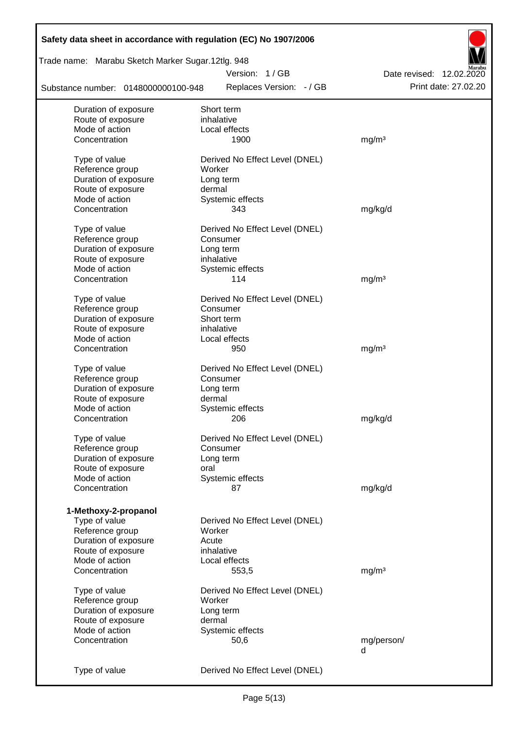| Safety data sheet in accordance with regulation (EC) No 1907/2006 |                                |                          |
|-------------------------------------------------------------------|--------------------------------|--------------------------|
| Trade name: Marabu Sketch Marker Sugar.12tlg. 948                 |                                |                          |
|                                                                   | Version: 1/GB                  | Date revised: 12.02.2020 |
| Substance number: 0148000000100-948                               | Replaces Version: - / GB       | Print date: 27.02.20     |
| Duration of exposure                                              | Short term                     |                          |
| Route of exposure                                                 | inhalative                     |                          |
| Mode of action                                                    | Local effects                  |                          |
| Concentration                                                     | 1900                           | mg/m <sup>3</sup>        |
| Type of value                                                     | Derived No Effect Level (DNEL) |                          |
| Reference group                                                   | Worker                         |                          |
| Duration of exposure                                              | Long term                      |                          |
| Route of exposure                                                 | dermal                         |                          |
| Mode of action                                                    | Systemic effects               |                          |
| Concentration                                                     | 343                            | mg/kg/d                  |
|                                                                   |                                |                          |
| Type of value                                                     | Derived No Effect Level (DNEL) |                          |
| Reference group                                                   | Consumer                       |                          |
| Duration of exposure                                              | Long term                      |                          |
| Route of exposure                                                 | inhalative                     |                          |
| Mode of action                                                    | Systemic effects               |                          |
| Concentration                                                     | 114                            | mg/m <sup>3</sup>        |
| Type of value                                                     | Derived No Effect Level (DNEL) |                          |
| Reference group                                                   | Consumer                       |                          |
| Duration of exposure                                              | Short term                     |                          |
| Route of exposure                                                 | inhalative                     |                          |
| Mode of action                                                    | Local effects                  |                          |
| Concentration                                                     |                                |                          |
|                                                                   | 950                            | mg/m <sup>3</sup>        |
| Type of value                                                     | Derived No Effect Level (DNEL) |                          |
| Reference group                                                   | Consumer                       |                          |
| Duration of exposure                                              | Long term                      |                          |
| Route of exposure                                                 | dermal                         |                          |
| Mode of action                                                    | Systemic effects               |                          |
| Concentration                                                     | 206                            | mg/kg/d                  |
|                                                                   |                                |                          |
| Type of value                                                     | Derived No Effect Level (DNEL) |                          |
| Reference group                                                   | Consumer                       |                          |
| Duration of exposure                                              | Long term                      |                          |
| Route of exposure<br>Mode of action                               | oral                           |                          |
| Concentration                                                     | Systemic effects<br>87         | mg/kg/d                  |
|                                                                   |                                |                          |
| 1-Methoxy-2-propanol                                              |                                |                          |
| Type of value                                                     | Derived No Effect Level (DNEL) |                          |
| Reference group                                                   | Worker                         |                          |
| Duration of exposure                                              | Acute                          |                          |
| Route of exposure                                                 | inhalative                     |                          |
| Mode of action                                                    | Local effects                  |                          |
| Concentration                                                     | 553,5                          | mg/m <sup>3</sup>        |
|                                                                   |                                |                          |
| Type of value                                                     | Derived No Effect Level (DNEL) |                          |
| Reference group                                                   | Worker                         |                          |
| Duration of exposure                                              | Long term                      |                          |
| Route of exposure                                                 | dermal                         |                          |
| Mode of action                                                    | Systemic effects               |                          |
| Concentration                                                     | 50,6                           | mg/person/               |
|                                                                   |                                | d                        |
| Type of value                                                     | Derived No Effect Level (DNEL) |                          |
|                                                                   |                                |                          |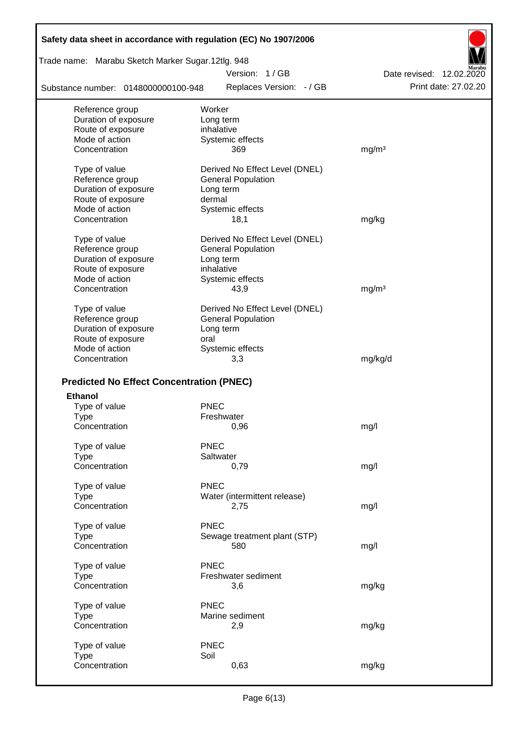| Safety data sheet in accordance with regulation (EC) No 1907/2006 |                                           |                                                  |
|-------------------------------------------------------------------|-------------------------------------------|--------------------------------------------------|
| Trade name: Marabu Sketch Marker Sugar.12tlg. 948                 |                                           |                                                  |
| Substance number: 0148000000100-948                               | Version: 1/GB<br>Replaces Version: - / GB | Date revised: 12.02.2020<br>Print date: 27,02.20 |
|                                                                   |                                           |                                                  |
| Reference group                                                   | Worker                                    |                                                  |
| Duration of exposure<br>Route of exposure                         | Long term<br>inhalative                   |                                                  |
| Mode of action                                                    | Systemic effects                          |                                                  |
| Concentration                                                     | 369                                       | mg/m <sup>3</sup>                                |
| Type of value                                                     | Derived No Effect Level (DNEL)            |                                                  |
| Reference group                                                   | <b>General Population</b>                 |                                                  |
| Duration of exposure                                              | Long term                                 |                                                  |
| Route of exposure                                                 | dermal                                    |                                                  |
| Mode of action                                                    | Systemic effects                          |                                                  |
| Concentration                                                     | 18,1                                      | mg/kg                                            |
| Type of value                                                     | Derived No Effect Level (DNEL)            |                                                  |
| Reference group                                                   | <b>General Population</b>                 |                                                  |
| Duration of exposure                                              | Long term                                 |                                                  |
| Route of exposure<br>Mode of action                               | inhalative                                |                                                  |
| Concentration                                                     | Systemic effects<br>43,9                  | mg/m <sup>3</sup>                                |
|                                                                   |                                           |                                                  |
| Type of value                                                     | Derived No Effect Level (DNEL)            |                                                  |
| Reference group                                                   | <b>General Population</b>                 |                                                  |
| Duration of exposure                                              | Long term                                 |                                                  |
| Route of exposure                                                 | oral                                      |                                                  |
| Mode of action                                                    | Systemic effects                          |                                                  |
| Concentration                                                     | 3,3                                       | mg/kg/d                                          |
| <b>Predicted No Effect Concentration (PNEC)</b>                   |                                           |                                                  |
| <b>Ethanol</b>                                                    |                                           |                                                  |
| Type of value                                                     | <b>PNEC</b>                               |                                                  |
| Type                                                              | Freshwater                                |                                                  |
| Concentration                                                     | 0,96                                      | mg/l                                             |
| Type of value                                                     | <b>PNEC</b>                               |                                                  |
| <b>Type</b>                                                       | Saltwater                                 |                                                  |
| Concentration                                                     | 0,79                                      | mg/l                                             |
| Type of value                                                     | <b>PNEC</b>                               |                                                  |
| Type                                                              | Water (intermittent release)              |                                                  |
| Concentration                                                     | 2,75                                      | mg/l                                             |
| Type of value                                                     | <b>PNEC</b>                               |                                                  |
| <b>Type</b>                                                       | Sewage treatment plant (STP)              |                                                  |
| Concentration                                                     | 580                                       | mg/l                                             |
| Type of value                                                     | <b>PNEC</b>                               |                                                  |
| <b>Type</b>                                                       | Freshwater sediment                       |                                                  |
| Concentration                                                     | 3,6                                       | mg/kg                                            |
| Type of value                                                     | <b>PNEC</b>                               |                                                  |
| <b>Type</b>                                                       | Marine sediment                           |                                                  |
| Concentration                                                     | 2,9                                       | mg/kg                                            |
| Type of value                                                     | <b>PNEC</b>                               |                                                  |
| <b>Type</b>                                                       | Soil                                      |                                                  |
| Concentration                                                     | 0,63                                      | mg/kg                                            |
|                                                                   |                                           |                                                  |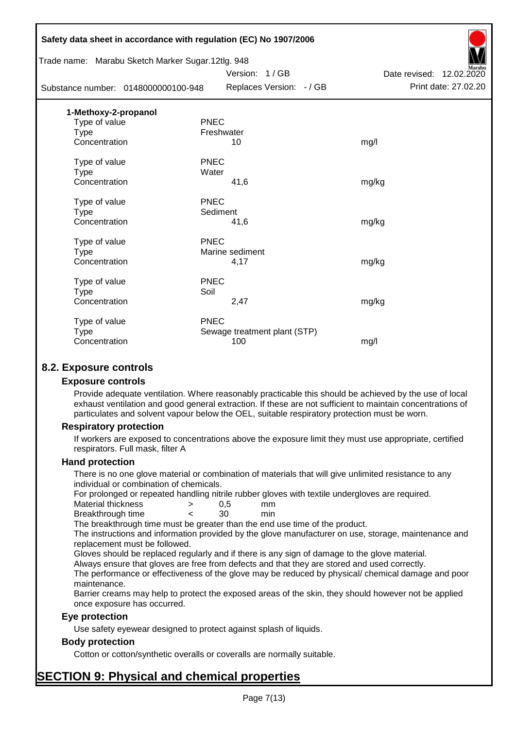|                                                   | Safety data sheet in accordance with regulation (EC) No 1907/2006 |                          |
|---------------------------------------------------|-------------------------------------------------------------------|--------------------------|
| Trade name: Marabu Sketch Marker Sugar.12tlg. 948 |                                                                   |                          |
|                                                   | Version: 1/GB                                                     | Date revised: 12.02.2020 |
| Substance number: 0148000000100-948               | Replaces Version: - / GB                                          | Print date: 27.02.20     |
| 1-Methoxy-2-propanol                              |                                                                   |                          |
| Type of value                                     | <b>PNEC</b>                                                       |                          |
| <b>Type</b>                                       | Freshwater                                                        |                          |
| Concentration                                     | 10                                                                | mg/l                     |
| Type of value                                     | <b>PNEC</b>                                                       |                          |
| <b>Type</b>                                       | Water                                                             |                          |
| Concentration                                     | 41,6                                                              | mg/kg                    |
| Type of value                                     | <b>PNEC</b>                                                       |                          |
| Type                                              | Sediment                                                          |                          |
| Concentration                                     | 41,6                                                              | mg/kg                    |
| Type of value                                     | <b>PNEC</b>                                                       |                          |
| <b>Type</b>                                       | Marine sediment                                                   |                          |
| Concentration                                     | 4,17                                                              | mg/kg                    |
| Type of value                                     | <b>PNEC</b>                                                       |                          |
| <b>Type</b>                                       | Soil                                                              |                          |
| Concentration                                     | 2,47                                                              | mg/kg                    |
| Type of value                                     | <b>PNEC</b>                                                       |                          |
| <b>Type</b>                                       | Sewage treatment plant (STP)                                      |                          |
| Concentration                                     | 100                                                               | mg/l                     |
|                                                   |                                                                   |                          |

## **8.2. Exposure controls**

#### **Exposure controls**

Provide adequate ventilation. Where reasonably practicable this should be achieved by the use of local exhaust ventilation and good general extraction. If these are not sufficient to maintain concentrations of particulates and solvent vapour below the OEL, suitable respiratory protection must be worn.

#### **Respiratory protection**

If workers are exposed to concentrations above the exposure limit they must use appropriate, certified respirators. Full mask, filter A

#### **Hand protection**

There is no one glove material or combination of materials that will give unlimited resistance to any individual or combination of chemicals.

For prolonged or repeated handling nitrile rubber gloves with textile undergloves are required.

| Material thickness | 0.5 | mm  |
|--------------------|-----|-----|
| Breakthrough time  | 30  | min |

The breakthrough time must be greater than the end use time of the product.

The instructions and information provided by the glove manufacturer on use, storage, maintenance and replacement must be followed.

Gloves should be replaced regularly and if there is any sign of damage to the glove material.

Always ensure that gloves are free from defects and that they are stored and used correctly.

The performance or effectiveness of the glove may be reduced by physical/ chemical damage and poor maintenance.

Barrier creams may help to protect the exposed areas of the skin, they should however not be applied once exposure has occurred.

### **Eye protection**

Use safety eyewear designed to protect against splash of liquids.

### **Body protection**

Cotton or cotton/synthetic overalls or coveralls are normally suitable.

# **SECTION 9: Physical and chemical properties**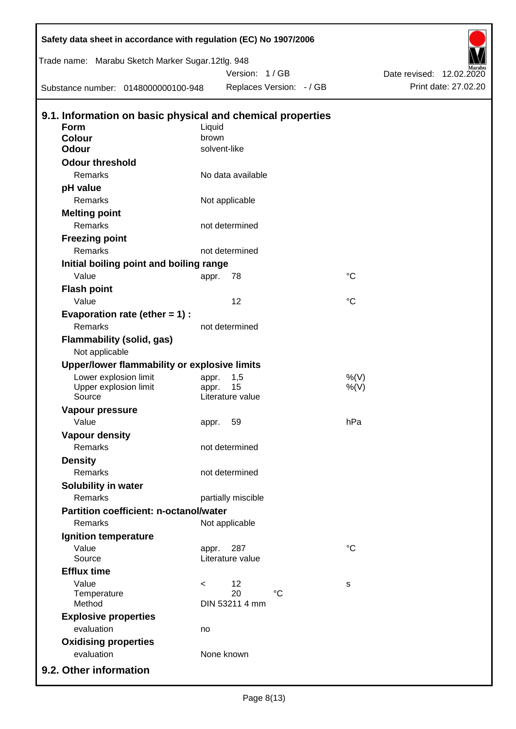| Safety data sheet in accordance with regulation (EC) No 1907/2006 |          |                      |                          |                 |                          |
|-------------------------------------------------------------------|----------|----------------------|--------------------------|-----------------|--------------------------|
| Trade name: Marabu Sketch Marker Sugar.12tlg. 948                 |          |                      |                          |                 |                          |
|                                                                   |          | Version: 1/GB        |                          |                 | Date revised: 12.02.2020 |
| Substance number: 0148000000100-948                               |          |                      | Replaces Version: - / GB |                 | Print date: 27.02.20     |
| 9.1. Information on basic physical and chemical properties        |          |                      |                          |                 |                          |
| <b>Form</b>                                                       | Liquid   |                      |                          |                 |                          |
| <b>Colour</b>                                                     | brown    |                      |                          |                 |                          |
| <b>Odour</b>                                                      |          | solvent-like         |                          |                 |                          |
| <b>Odour threshold</b>                                            |          |                      |                          |                 |                          |
| Remarks                                                           |          | No data available    |                          |                 |                          |
| pH value                                                          |          |                      |                          |                 |                          |
| Remarks                                                           |          | Not applicable       |                          |                 |                          |
| <b>Melting point</b>                                              |          |                      |                          |                 |                          |
| Remarks                                                           |          | not determined       |                          |                 |                          |
| <b>Freezing point</b>                                             |          |                      |                          |                 |                          |
| Remarks                                                           |          | not determined       |                          |                 |                          |
| Initial boiling point and boiling range                           |          |                      |                          |                 |                          |
| Value                                                             | appr.    | 78                   |                          | $^{\circ}C$     |                          |
| <b>Flash point</b>                                                |          |                      |                          |                 |                          |
| Value                                                             |          | 12                   |                          | $^{\circ}C$     |                          |
| Evaporation rate (ether $= 1$ ) :                                 |          |                      |                          |                 |                          |
| Remarks                                                           |          | not determined       |                          |                 |                          |
| <b>Flammability (solid, gas)</b><br>Not applicable                |          |                      |                          |                 |                          |
| Upper/lower flammability or explosive limits                      |          |                      |                          |                 |                          |
| Lower explosion limit                                             | appr.    | 1,5                  |                          | %(V)            |                          |
| Upper explosion limit                                             | appr.    | 15                   |                          | $%$ (V)         |                          |
| Source                                                            |          | Literature value     |                          |                 |                          |
| Vapour pressure                                                   |          |                      |                          |                 |                          |
| Value                                                             | appr. 59 |                      |                          | hPa             |                          |
| <b>Vapour density</b>                                             |          |                      |                          |                 |                          |
| Remarks                                                           |          | not determined       |                          |                 |                          |
| <b>Density</b>                                                    |          |                      |                          |                 |                          |
| Remarks                                                           |          | not determined       |                          |                 |                          |
| Solubility in water                                               |          |                      |                          |                 |                          |
| Remarks                                                           |          | partially miscible   |                          |                 |                          |
| <b>Partition coefficient: n-octanol/water</b>                     |          |                      |                          |                 |                          |
| Remarks                                                           |          | Not applicable       |                          |                 |                          |
| Ignition temperature                                              |          |                      |                          |                 |                          |
| Value                                                             | appr.    | 287                  |                          | $\rm ^{\circ}C$ |                          |
| Source                                                            |          | Literature value     |                          |                 |                          |
| <b>Efflux time</b>                                                |          |                      |                          |                 |                          |
| Value                                                             | $\,<\,$  | 12                   |                          | s               |                          |
| Temperature<br>Method                                             |          | 20<br>DIN 53211 4 mm | $^{\circ}C$              |                 |                          |
| <b>Explosive properties</b>                                       |          |                      |                          |                 |                          |
| evaluation                                                        | no       |                      |                          |                 |                          |
| <b>Oxidising properties</b>                                       |          |                      |                          |                 |                          |
| evaluation                                                        |          | None known           |                          |                 |                          |
|                                                                   |          |                      |                          |                 |                          |
| 9.2. Other information                                            |          |                      |                          |                 |                          |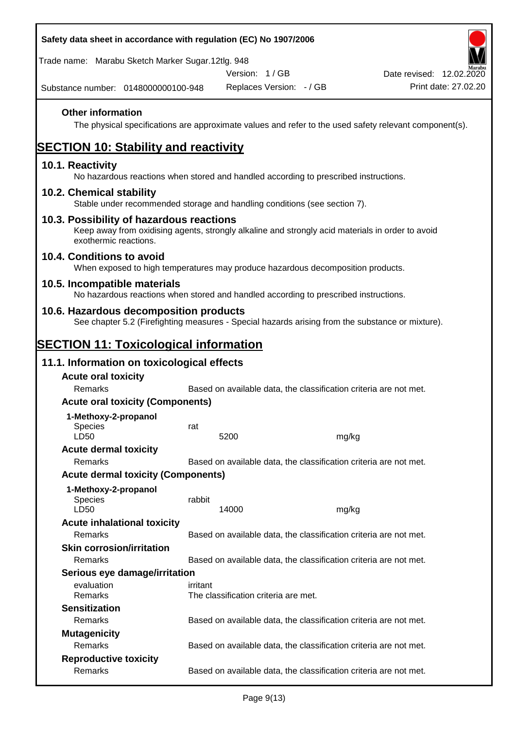| Safety data sheet in accordance with regulation (EC) No 1907/2006                                                                                                     |          |                                      |                                                                   |                          |
|-----------------------------------------------------------------------------------------------------------------------------------------------------------------------|----------|--------------------------------------|-------------------------------------------------------------------|--------------------------|
| Trade name: Marabu Sketch Marker Sugar.12tlg. 948                                                                                                                     |          | Version: 1/GB                        |                                                                   | Date revised: 12.02.2020 |
| Substance number: 0148000000100-948                                                                                                                                   |          | Replaces Version: - / GB             |                                                                   | Print date: 27.02.20     |
| <b>Other information</b><br>The physical specifications are approximate values and refer to the used safety relevant component(s).                                    |          |                                      |                                                                   |                          |
| <b>SECTION 10: Stability and reactivity</b>                                                                                                                           |          |                                      |                                                                   |                          |
| 10.1. Reactivity<br>No hazardous reactions when stored and handled according to prescribed instructions.                                                              |          |                                      |                                                                   |                          |
| 10.2. Chemical stability<br>Stable under recommended storage and handling conditions (see section 7).                                                                 |          |                                      |                                                                   |                          |
| 10.3. Possibility of hazardous reactions<br>Keep away from oxidising agents, strongly alkaline and strongly acid materials in order to avoid<br>exothermic reactions. |          |                                      |                                                                   |                          |
| 10.4. Conditions to avoid<br>When exposed to high temperatures may produce hazardous decomposition products.                                                          |          |                                      |                                                                   |                          |
| 10.5. Incompatible materials<br>No hazardous reactions when stored and handled according to prescribed instructions.                                                  |          |                                      |                                                                   |                          |
| 10.6. Hazardous decomposition products<br>See chapter 5.2 (Firefighting measures - Special hazards arising from the substance or mixture).                            |          |                                      |                                                                   |                          |
| <b>SECTION 11: Toxicological information</b>                                                                                                                          |          |                                      |                                                                   |                          |
| 11.1. Information on toxicological effects                                                                                                                            |          |                                      |                                                                   |                          |
| <b>Acute oral toxicity</b><br>Remarks                                                                                                                                 |          |                                      | Based on available data, the classification criteria are not met. |                          |
| <b>Acute oral toxicity (Components)</b>                                                                                                                               |          |                                      |                                                                   |                          |
| 1-Methoxy-2-propanol                                                                                                                                                  |          |                                      |                                                                   |                          |
| <b>Species</b>                                                                                                                                                        | rat      |                                      |                                                                   |                          |
| LD50<br><b>Acute dermal toxicity</b>                                                                                                                                  |          | 5200                                 | mg/kg                                                             |                          |
| Remarks                                                                                                                                                               |          |                                      | Based on available data, the classification criteria are not met. |                          |
| <b>Acute dermal toxicity (Components)</b>                                                                                                                             |          |                                      |                                                                   |                          |
| 1-Methoxy-2-propanol                                                                                                                                                  |          |                                      |                                                                   |                          |
| Species<br>LD50                                                                                                                                                       | rabbit   | 14000                                | mg/kg                                                             |                          |
| <b>Acute inhalational toxicity</b>                                                                                                                                    |          |                                      |                                                                   |                          |
| Remarks                                                                                                                                                               |          |                                      | Based on available data, the classification criteria are not met. |                          |
| <b>Skin corrosion/irritation</b>                                                                                                                                      |          |                                      |                                                                   |                          |
| Remarks                                                                                                                                                               |          |                                      | Based on available data, the classification criteria are not met. |                          |
| Serious eye damage/irritation                                                                                                                                         |          |                                      |                                                                   |                          |
| evaluation<br>Remarks                                                                                                                                                 | irritant | The classification criteria are met. |                                                                   |                          |
| <b>Sensitization</b>                                                                                                                                                  |          |                                      |                                                                   |                          |
| Remarks                                                                                                                                                               |          |                                      | Based on available data, the classification criteria are not met. |                          |
| <b>Mutagenicity</b><br>Remarks                                                                                                                                        |          |                                      | Based on available data, the classification criteria are not met. |                          |
| <b>Reproductive toxicity</b>                                                                                                                                          |          |                                      |                                                                   |                          |
| Remarks                                                                                                                                                               |          |                                      | Based on available data, the classification criteria are not met. |                          |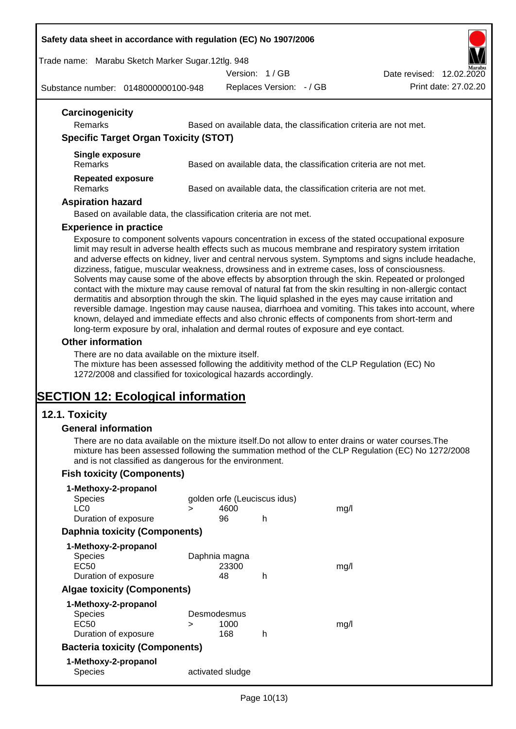#### **Safety data sheet in accordance with regulation (EC) No 1907/2006**

Trade name: Marabu Sketch Marker Sugar.12tlg. 948

Version: 1 / GB

Date revised: 12.02.2020

Substance number: 0148000000100-948

Replaces Version: - / GB Print date: 27.02.20

| Remarks                                      | Based on available data, the classification criteria are not met. |
|----------------------------------------------|-------------------------------------------------------------------|
| <b>Specific Target Organ Toxicity (STOT)</b> |                                                                   |
| Single exposure<br><b>Remarks</b>            | Based on available data, the classification criteria are not met. |
| <b>Repeated exposure</b><br><b>Remarks</b>   | Based on available data, the classification criteria are not met. |
| <b>Aspiration hazard</b>                     |                                                                   |

#### **Experience in practice**

Exposure to component solvents vapours concentration in excess of the stated occupational exposure limit may result in adverse health effects such as mucous membrane and respiratory system irritation and adverse effects on kidney, liver and central nervous system. Symptoms and signs include headache, dizziness, fatigue, muscular weakness, drowsiness and in extreme cases, loss of consciousness. Solvents may cause some of the above effects by absorption through the skin. Repeated or prolonged contact with the mixture may cause removal of natural fat from the skin resulting in non-allergic contact dermatitis and absorption through the skin. The liquid splashed in the eyes may cause irritation and reversible damage. Ingestion may cause nausea, diarrhoea and vomiting. This takes into account, where known, delayed and immediate effects and also chronic effects of components from short-term and long-term exposure by oral, inhalation and dermal routes of exposure and eye contact.

#### **Other information**

There are no data available on the mixture itself.

The mixture has been assessed following the additivity method of the CLP Regulation (EC) No 1272/2008 and classified for toxicological hazards accordingly.

# **SECTION 12: Ecological information**

### **12.1. Toxicity**

#### **General information**

There are no data available on the mixture itself.Do not allow to enter drains or water courses.The mixture has been assessed following the summation method of the CLP Regulation (EC) No 1272/2008 and is not classified as dangerous for the environment.

### **Fish toxicity (Components)**

| 1-Methoxy-2-propanol                  |   |                              |   |      |
|---------------------------------------|---|------------------------------|---|------|
| <b>Species</b>                        |   | golden orfe (Leuciscus idus) |   |      |
| LC <sub>0</sub>                       | ⋗ | 4600                         |   | mq/l |
| Duration of exposure                  |   | 96                           | h |      |
| <b>Daphnia toxicity (Components)</b>  |   |                              |   |      |
| 1-Methoxy-2-propanol                  |   |                              |   |      |
| <b>Species</b>                        |   | Daphnia magna                |   |      |
| EC50                                  |   | 23300                        |   | mq/1 |
| Duration of exposure                  |   | 48                           | h |      |
| <b>Algae toxicity (Components)</b>    |   |                              |   |      |
| 1-Methoxy-2-propanol                  |   |                              |   |      |
| <b>Species</b>                        |   | Desmodesmus                  |   |      |
| EC50                                  | ⋗ | 1000                         |   | mq/1 |
| Duration of exposure                  |   | 168                          | h |      |
| <b>Bacteria toxicity (Components)</b> |   |                              |   |      |
| 1-Methoxy-2-propanol                  |   |                              |   |      |
| Species                               |   | activated sludge             |   |      |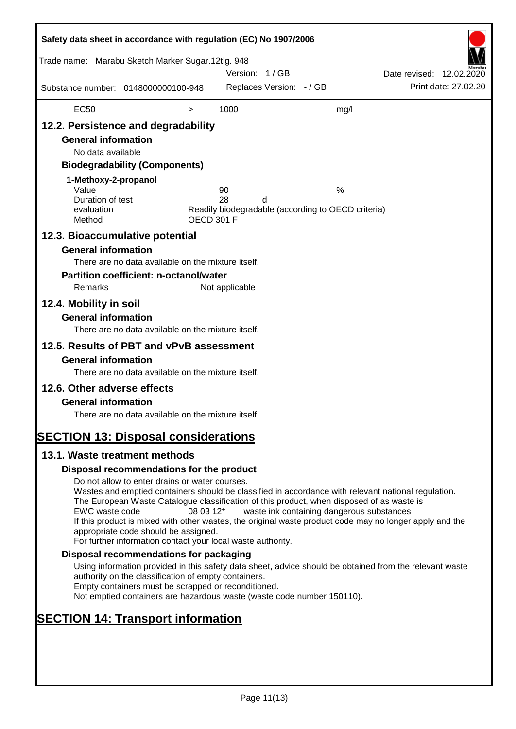| Safety data sheet in accordance with regulation (EC) No 1907/2006                                                                                                   |                                                                                                                                                                                                                                                                                                                                                                                                                                                                      |                   |                |                          |                                                         |                          |                      |
|---------------------------------------------------------------------------------------------------------------------------------------------------------------------|----------------------------------------------------------------------------------------------------------------------------------------------------------------------------------------------------------------------------------------------------------------------------------------------------------------------------------------------------------------------------------------------------------------------------------------------------------------------|-------------------|----------------|--------------------------|---------------------------------------------------------|--------------------------|----------------------|
| Trade name: Marabu Sketch Marker Sugar.12tlg. 948                                                                                                                   |                                                                                                                                                                                                                                                                                                                                                                                                                                                                      |                   | Version: 1/GB  |                          |                                                         | Date revised: 12.02.2020 |                      |
| Substance number: 0148000000100-948                                                                                                                                 |                                                                                                                                                                                                                                                                                                                                                                                                                                                                      |                   |                | Replaces Version: - / GB |                                                         |                          | Print date: 27.02.20 |
| <b>EC50</b>                                                                                                                                                         |                                                                                                                                                                                                                                                                                                                                                                                                                                                                      | $\,>$             | 1000           |                          | mg/l                                                    |                          |                      |
| 12.2. Persistence and degradability<br><b>General information</b><br>No data available<br>1-Methoxy-2-propanol<br>Value<br>Duration of test<br>evaluation<br>Method | <b>Biodegradability (Components)</b>                                                                                                                                                                                                                                                                                                                                                                                                                                 | <b>OECD 301 F</b> | 90<br>28       | d                        | %<br>Readily biodegradable (according to OECD criteria) |                          |                      |
| 12.3. Bioaccumulative potential<br><b>General information</b><br>Remarks<br>12.4. Mobility in soil<br><b>General information</b>                                    | There are no data available on the mixture itself.<br><b>Partition coefficient: n-octanol/water</b>                                                                                                                                                                                                                                                                                                                                                                  |                   | Not applicable |                          |                                                         |                          |                      |
| 12.5. Results of PBT and vPvB assessment<br><b>General information</b>                                                                                              | There are no data available on the mixture itself.<br>There are no data available on the mixture itself.                                                                                                                                                                                                                                                                                                                                                             |                   |                |                          |                                                         |                          |                      |
| 12.6. Other adverse effects<br><b>General information</b><br><b>SECTION 13: Disposal considerations</b>                                                             | There are no data available on the mixture itself.                                                                                                                                                                                                                                                                                                                                                                                                                   |                   |                |                          |                                                         |                          |                      |
| 13.1. Waste treatment methods                                                                                                                                       |                                                                                                                                                                                                                                                                                                                                                                                                                                                                      |                   |                |                          |                                                         |                          |                      |
|                                                                                                                                                                     | Disposal recommendations for the product                                                                                                                                                                                                                                                                                                                                                                                                                             |                   |                |                          |                                                         |                          |                      |
| EWC waste code                                                                                                                                                      | Do not allow to enter drains or water courses.<br>Wastes and emptied containers should be classified in accordance with relevant national regulation.<br>The European Waste Catalogue classification of this product, when disposed of as waste is<br>If this product is mixed with other wastes, the original waste product code may no longer apply and the<br>appropriate code should be assigned.<br>For further information contact your local waste authority. | 08 03 12*         |                |                          | waste ink containing dangerous substances               |                          |                      |
|                                                                                                                                                                     | Disposal recommendations for packaging                                                                                                                                                                                                                                                                                                                                                                                                                               |                   |                |                          |                                                         |                          |                      |
|                                                                                                                                                                     | Using information provided in this safety data sheet, advice should be obtained from the relevant waste<br>authority on the classification of empty containers.<br>Empty containers must be scrapped or reconditioned.<br>Not emptied containers are hazardous waste (waste code number 150110).                                                                                                                                                                     |                   |                |                          |                                                         |                          |                      |
| <b>SECTION 14: Transport information</b>                                                                                                                            |                                                                                                                                                                                                                                                                                                                                                                                                                                                                      |                   |                |                          |                                                         |                          |                      |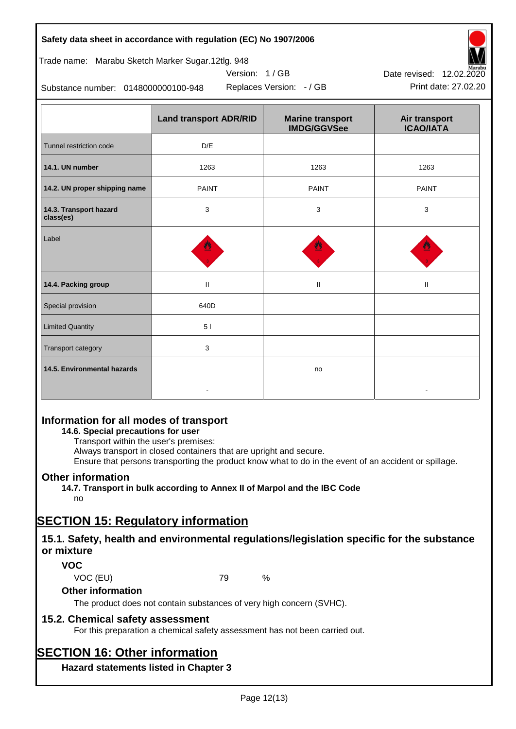# **Safety data sheet in accordance with regulation (EC) No 1907/2006**

Trade name: Marabu Sketch Marker Sugar.12tlg. 948

Substance number: 0148000000100-948

|                                     | <b>Land transport ADR/RID</b> | <b>Marine transport</b><br><b>IMDG/GGVSee</b> | Air transport<br><b>ICAO/IATA</b> |
|-------------------------------------|-------------------------------|-----------------------------------------------|-----------------------------------|
| Tunnel restriction code             | D/E                           |                                               |                                   |
| 14.1. UN number                     | 1263                          | 1263                                          | 1263                              |
| 14.2. UN proper shipping name       | <b>PAINT</b>                  | <b>PAINT</b>                                  | <b>PAINT</b>                      |
| 14.3. Transport hazard<br>class(es) | 3                             | 3                                             | 3                                 |
| Label                               |                               |                                               |                                   |
| 14.4. Packing group                 | $\mathbf{II}$                 | Ш                                             | Ш                                 |
| Special provision                   | 640D                          |                                               |                                   |
| <b>Limited Quantity</b>             | 51                            |                                               |                                   |
| Transport category                  | 3                             |                                               |                                   |
| 14.5. Environmental hazards         |                               | no                                            |                                   |

Version: 1 / GB

# **Information for all modes of transport**

## **14.6. Special precautions for user**

Transport within the user's premises:

Always transport in closed containers that are upright and secure.

Ensure that persons transporting the product know what to do in the event of an accident or spillage.

## **Other information**

**14.7. Transport in bulk according to Annex II of Marpol and the IBC Code**

# no

# **SECTION 15: Regulatory information**

## **15.1. Safety, health and environmental regulations/legislation specific for the substance or mixture**

## **VOC**

VOC (EU) 79 %

### **Other information**

The product does not contain substances of very high concern (SVHC).

## **15.2. Chemical safety assessment**

For this preparation a chemical safety assessment has not been carried out.

# **SECTION 16: Other information**

**Hazard statements listed in Chapter 3**



Replaces Version: - / GB Print date: 27.02.20 Date revised: 12.02.2020